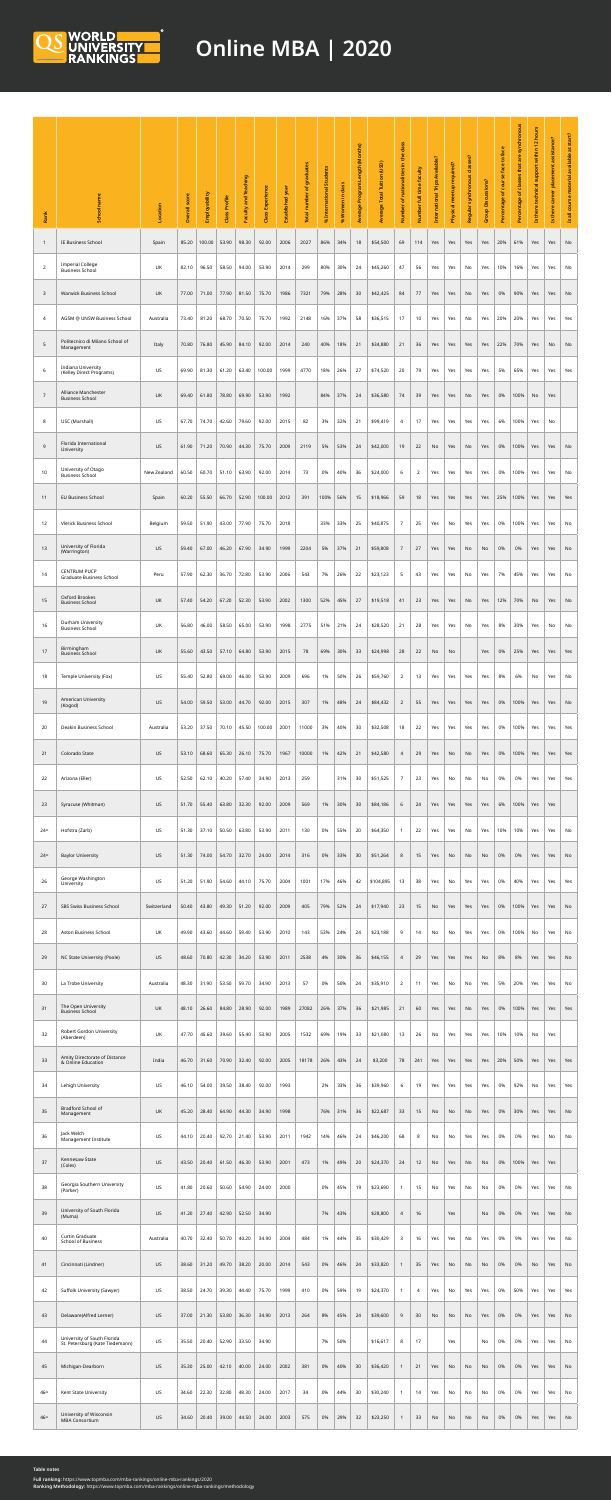| Rank            | <b>PM</b>                                                      | Location    | SCO<br><b>Overall</b> | Employability | Profile<br>Class | ching<br>and<br><b>Appe</b> | <b>Class Experience</b> | Established year | qraduates<br>number of<br>Total | nal Students<br>% In | % Women in class | ogram Length (Months)<br><u>a</u><br>Average | Average Total Tuition (USD) | class<br>ω<br>$\ddot{ }$<br>nationalities in<br>$\overline{b}$<br>Number | faculty<br>full time<br>Number | Trips Available? | tup required?<br>Physical mee | classes?<br>onous<br>$\boldsymbol{\mathsf{S}}$<br><b>Regula</b> | <b>Group Discussions?</b> | face<br><b>face to</b><br>course<br>$\mathbf{b}$<br>Percentage | synchronous<br>are<br>that<br>of classes<br>Percentage | hours<br>$\mathbf N$<br>$\overline{\phantom{0}}$<br>within<br>upport<br>chnica<br>there<br>2 | assistance?<br>there<br>$\mathbf{z}$ | Is all course material available at start? |
|-----------------|----------------------------------------------------------------|-------------|-----------------------|---------------|------------------|-----------------------------|-------------------------|------------------|---------------------------------|----------------------|------------------|----------------------------------------------|-----------------------------|--------------------------------------------------------------------------|--------------------------------|------------------|-------------------------------|-----------------------------------------------------------------|---------------------------|----------------------------------------------------------------|--------------------------------------------------------|----------------------------------------------------------------------------------------------|--------------------------------------|--------------------------------------------|
|                 | IE Business School                                             | Spain       | 85.20                 | 100.00        | 53.90            | 98.30                       | 92.00                   | 2006             | 2027                            | 86%                  | 34%              | 18                                           | \$54,500                    | 69                                                                       | 114                            | Yes              | Yes                           | Yes                                                             | Yes                       | 20%                                                            | 61%                                                    | Yes                                                                                          | Yes                                  | No                                         |
| $\overline{2}$  | <b>Imperial College</b><br><b>Business School</b>              | UK          | 82.10                 | 96.50         | 58.50            | 94.00                       | 53.90                   | 2014             | 299                             | 80%                  | 30%              | 24                                           | \$45,260                    | 47                                                                       | 56                             | Yes              | Yes                           | No                                                              | Yes                       | 10%                                                            | 16%                                                    | Yes                                                                                          | Yes                                  | No                                         |
| 3               | <b>Warwick Business School</b>                                 | <b>UK</b>   | 77.00                 | 71.00         | 77.90            | 81.50                       | 75.70                   | 1986             | 7321                            | 79%                  | 28%              | 30                                           | \$42,425                    | 84                                                                       | 77                             | Yes              | Yes                           | No                                                              | Yes                       | 0%                                                             | 90%                                                    | Yes                                                                                          | Yes                                  | No                                         |
| $\overline{4}$  | AGSM @ UNSW Business School                                    | Australia   | 73.40                 | 81.20         | 68.70            | 70.50                       | 75.70                   | 1992             | 2148                            | 16%                  | 37%              | 58                                           | \$36,515                    | 17                                                                       | 10                             | Yes              | Yes                           | No                                                              | Yes                       | 20%                                                            | 20%                                                    | Yes                                                                                          | Yes                                  | Yes                                        |
| $5\overline{)}$ | Politecnico di Milano School of<br>Management                  | Italy       | 70.80                 | 76.80         | 45.90            | 84.10                       | 92.00                   | 2014             | 240                             | 40%                  | 18%              | 21                                           | \$34,880                    | 21                                                                       | 36                             | Yes              | Yes                           | Yes                                                             | Yes                       | 22%                                                            | 70%                                                    | Yes                                                                                          | No                                   | No                                         |
| 6               | Indiana University<br>(Kelley Direct Programs)                 | <b>US</b>   | 69.90                 | 81.30         | 61.20            | 63.40                       | 100.00                  | 1999             | 4770                            | 18%                  | 26%              | 27                                           | \$74,520                    | 20                                                                       | 79                             | Yes              | Yes                           | Yes                                                             | Yes                       | 5%                                                             | 65%                                                    | Yes                                                                                          | Yes                                  | Yes                                        |
| $\overline{7}$  | <b>Alliance Manchester</b><br><b>Business School</b>           | <b>UK</b>   | 69.40                 | 61.80         | 78.80            | 69.90                       | 53.90                   | 1992             |                                 | 84%                  | 37%              | 24                                           | \$36,580                    | 74                                                                       | 39                             | Yes              | Yes                           | No                                                              | Yes                       | 0%                                                             | $100\%$                                                | No                                                                                           | Yes                                  |                                            |
| 8               | USC (Marshall)                                                 | <b>US</b>   | 67.70                 | 74.70         | 42.60            | 79.60                       | 92.00                   | 2015             | 82                              | 3%                   | 32%              | 21                                           | \$99,419                    | $\overline{4}$                                                           | 17                             | Yes              | Yes                           | Yes                                                             | Yes                       | 6%                                                             | 100%                                                   | Yes                                                                                          | No                                   |                                            |
| 9               | Florida International<br>University                            | <b>US</b>   | 61.90                 | 71.20         | 70.90            | 44.30                       | 75.70                   | 2009             | 2119                            | 5%                   | 53%              | 24                                           | \$42,000                    | 19                                                                       | 22                             | No               | Yes                           | No                                                              | Yes                       | 0%                                                             | 100%                                                   | Yes                                                                                          | Yes                                  | No                                         |
| 10              | University of Otago<br><b>Business School</b>                  | New Zealand | 60.50                 | 60.70         | 51.10            | 63.90                       | 92.00                   | 2014             | 73                              | 0%                   | 40%              | 36                                           | \$24,000                    | 6                                                                        | $\overline{2}$                 | Yes              | Yes                           | Yes                                                             | Yes                       | 0%                                                             | 100%                                                   | Yes                                                                                          | Yes                                  | No                                         |
| 11              | <b>EU Business School</b>                                      | Spain       | 60.20                 | 55.50         | 66.70            | 52.90                       | 100.00                  | 2012             | 391                             | 100%                 | 56%              | 15                                           | \$18,966                    | 59                                                                       | 18                             | Yes              | Yes                           | Yes                                                             | Yes                       | 25%                                                            | 100%                                                   | Yes                                                                                          | Yes                                  | Yes                                        |
| 12              | <b>Vlerick Business School</b>                                 | Belgium     | 59.50                 | 51.90         | 43.00            | 77.90                       | 75.70                   | 2018             |                                 | 33%                  | 33%              | 25                                           | \$40,875                    | $\overline{7}$                                                           | 25                             | Yes              | No                            | Yes                                                             | Yes                       | 0%                                                             | 100%                                                   | Yes                                                                                          | Yes                                  | No                                         |
| 13              | University of Florida                                          | <b>US</b>   | 59.40                 | 67.00         | 46.20            | 67.90                       | 34.90                   | 1999             | 2204                            | 5%                   | 37%              | 21                                           | \$59,808                    | $\overline{7}$                                                           | 27                             | Yes              | Yes                           | No                                                              | No                        | 0%                                                             | 0%                                                     | Yes                                                                                          | Yes                                  | No                                         |
| 14              | (Warrington)<br><b>CENTRUM PUCP</b>                            | Peru        | 57.90                 | 62.30         | 36.70            | 72.80                       | 53.90                   | 2006             | 543                             | 7%                   | 26%              | 22                                           | \$23,123                    | $5\phantom{.}$                                                           | 43                             | Yes              | Yes                           | No                                                              | Yes                       | 7%                                                             | 45%                                                    | Yes                                                                                          | Yes                                  | No                                         |
| 15              | <b>Graduate Business School</b><br><b>Oxford Brookes</b>       | UK          | 57.40                 | 54.20         | 67.20            | 52.30                       | 53.90                   | 2002             | 1300                            | 52%                  | 45%              | 27                                           | \$19,518                    | 41                                                                       | 23                             | Yes              | Yes                           | No                                                              | Yes                       | 12%                                                            | 70%                                                    | <b>No</b>                                                                                    | Yes                                  | No                                         |
| 16              | <b>Business School</b><br>Durham University                    | UK          | 56.80                 | 46.00         | 58.50            | 65.00                       | 53.90                   | 1998             | 2775                            | 51%                  | 21%              | 24                                           | \$28,520                    | 21                                                                       | 28                             | Yes              | Yes                           | No                                                              | Yes                       | 8%                                                             | 30%                                                    | Yes                                                                                          | No                                   | No                                         |
|                 | <b>Business School</b><br>Birmingham                           |             |                       |               |                  |                             |                         |                  |                                 |                      |                  |                                              |                             |                                                                          |                                |                  |                               |                                                                 |                           |                                                                |                                                        |                                                                                              |                                      |                                            |
| 17              | <b>Business School</b>                                         | UK          | 55.60                 | 43.50         | 57.10            | 64.80                       | 53.90                   | 2015             | 78                              | 69%                  | 30%              | 33                                           | \$24,998                    | 28                                                                       | 22                             | No               | No                            |                                                                 | Yes                       | 0%                                                             | 25%                                                    | Yes                                                                                          | Yes                                  | Yes                                        |
| 18              | Temple University (Fox)<br><b>American University</b>          | US          | 55.40                 | 52.80         | 69.00            | 46.00                       | 53.90                   | 2009             | 696                             | 1%                   | 50%              | 26                                           | \$59,760                    | $\overline{2}$                                                           | 13                             | Yes              | Yes                           | Yes                                                             | Yes                       | 8%                                                             | 6%                                                     | No                                                                                           | Yes                                  | No                                         |
| 19              | (Kogod)                                                        | <b>US</b>   | 54.00                 | 59.50         | 53.00            | 44.70                       | 92.00                   | 2015             | 307                             | 1%                   | 48%              | 24                                           | \$84,432                    | $\overline{2}$                                                           | 55                             | Yes              | Yes                           | Yes                                                             | Yes                       | 0%                                                             | 100%                                                   | Yes                                                                                          | Yes                                  | No                                         |
| 20              | Deakin Business School                                         | Australia   | 53.20                 | 37.50         | 70.10            | 45.50                       | 100.00                  | 2001             | 11000                           | 3%                   | 40%              | 30                                           | \$32,508                    | 18                                                                       | 22                             | Yes              | Yes                           | Yes                                                             | Yes                       | 0%                                                             | 100%                                                   | Yes                                                                                          | Yes                                  | Yes                                        |
| 21              | Colorado State                                                 | <b>US</b>   | 53.10                 | 68.60         | 65.30            | 26.10                       | 75.70                   | 1967             | 10000                           | 1%                   | 42%              | 21                                           | \$42,580                    | $\overline{4}$                                                           | 29                             | Yes              | No                            | No                                                              | Yes                       | 0%                                                             | 100%                                                   | Yes                                                                                          | Yes                                  | Yes                                        |
| 22              | Arizona (Eller)                                                | US          | 52.50                 | 62.10         | 40.20            | 57.40                       | 34.90                   | 2013             | 259                             |                      | 31%              | 30                                           | \$51,525                    | $\overline{7}$                                                           | 23                             | Yes              | No                            | No                                                              | No                        | 0%                                                             | 0%                                                     | Yes                                                                                          | Yes                                  | Yes                                        |
| 23              | Syracuse (Whitman)                                             | <b>US</b>   | 51.70                 | 55.40         | 63.80            | 32.30                       | 92.00                   | 2009             | 569                             | 1%                   | 30%              | 30                                           | \$84,186                    | 6                                                                        | 24                             | Yes              | Yes                           | Yes                                                             | Yes                       | 6%                                                             | 100%                                                   | Yes                                                                                          | Yes                                  |                                            |
| $24=$           | Hofstra (Zarb)                                                 | <b>US</b>   | 51.30                 | 37.10         | 50.50            | 63.80                       | 53.90                   | 2011             | 130                             | 0%                   | 55%              | 20                                           | \$64,350                    |                                                                          | 22                             | Yes              | Yes                           | No                                                              | Yes                       | 10%                                                            | 10%                                                    | Yes                                                                                          | Yes                                  | No                                         |
| $24=$           | <b>Baylor University</b>                                       | <b>US</b>   | 51.30                 | 74.00         | 54.70            | 32.70                       | 24.00                   | 2014             | 316                             | 0%                   | 33%              | 30                                           | \$51,264                    | 8                                                                        | 15                             | Yes              | No                            | No                                                              | No                        | 0%                                                             | 0%                                                     | Yes                                                                                          | Yes                                  | No                                         |
| 26              | George Washington<br>University                                | <b>US</b>   | 51.20                 | 51.90         | 54.60            | 44.10                       | 75.70                   | 2004             | 1001                            | 17%                  | 46%              | 42                                           | \$104,895                   | 13                                                                       | 38                             | Yes              | No                            | Yes                                                             | Yes                       | 0%                                                             | 40%                                                    | Yes                                                                                          | Yes                                  | Yes                                        |
| 27              | <b>SBS Swiss Business School</b>                               | Switzerland | 50.40                 | 43.80         | 49.30            | 51.20                       | 92.00                   | 2009             | 405                             | 79%                  | 52%              | 24                                           | \$17,940                    | 23                                                                       | 15                             | No               | Yes                           | Yes                                                             | Yes                       | 0%                                                             | 100%                                                   | Yes                                                                                          | Yes                                  | No                                         |
| 28              | Aston Business School                                          | UK          | 49.90                 | 43.60         | 44.60            | 59.40                       | 53.90                   | 2010             | 143                             | 53%                  | 24%              | 24                                           | \$23,188                    | 9                                                                        | 14                             | No               | No                            | Yes                                                             | Yes                       | 0%                                                             | 100%                                                   | No                                                                                           | Yes                                  | No                                         |
| 29              | NC State University (Poole)                                    | <b>US</b>   | 48.60                 | 70.80         | 42.30            | 34.20                       | 53.90                   | 2011             | 2538                            | 4%                   | 30%              | 36                                           | \$46,155                    | $\overline{4}$                                                           | 29                             | Yes              | Yes                           | Yes                                                             | No                        | 8%                                                             | 8%                                                     | Yes                                                                                          | Yes                                  | No                                         |
| 30              | La Trobe University                                            | Australia   | 48.30                 | 31.90         | 53.50            | 59.70                       | 34.90                   | 2013             | 57                              | 0%                   | 50%              | 24                                           | \$35,910                    | $\overline{2}$                                                           | 11                             | Yes              | No                            | No                                                              | Yes                       | 5%                                                             | 20%                                                    | Yes                                                                                          | Yes                                  | No                                         |
| 31              | The Open University<br><b>Business School</b>                  | <b>UK</b>   | 48.10                 | 26.60         | 84.80            | 28.90                       | 92.00                   | 1989             | 27082                           | 26%                  | 37%              | 36                                           | \$21,985                    | 21                                                                       | 60                             | Yes              | Yes                           | No                                                              | Yes                       | 0%                                                             | 100%                                                   | Yes                                                                                          | Yes                                  | Yes                                        |
| 32              | <b>Robert Gordon University</b><br>(Aberdeen)                  | UK          | 47.70                 | 45.60         | 39.60            | 55.40                       | 53.90                   | 2005             | 1532                            | 69%                  | 19%              | 33                                           | \$21,080                    | 13                                                                       | 26                             | No               | Yes                           | Yes                                                             | Yes                       | 10%                                                            | 10%                                                    | No                                                                                           | Yes                                  |                                            |
| 33              | Amity Directorate of Distance<br>& Online Education            | India       | 46.70                 | 31.60         | 70.90            | 32.40                       | 92.00                   | 2005             | 18178                           | 26%                  | 43%              | 24                                           | \$3,200                     | 78                                                                       | 241                            | Yes              | Yes                           | Yes                                                             | Yes                       | 20%                                                            | 50%                                                    | Yes                                                                                          | Yes                                  | Yes                                        |
| 34              | Lehigh University                                              | US          | 46.10                 | 54.00         | 39.50            | 38.40                       | 92.00                   | 1993             |                                 | 2%                   | 33%              | 36                                           | \$39,960                    | 6                                                                        | 19                             | Yes              | Yes                           | Yes                                                             | Yes                       | 0%                                                             | 92%                                                    | No                                                                                           | Yes                                  | Yes                                        |
| 35              | <b>Bradford School of</b><br>Management                        | <b>UK</b>   | 45.20                 | 28.40         | 64.90            | 44.30                       | 34.90                   | 1998             |                                 | 76%                  | 31%              | 36                                           | \$22,687                    | 33                                                                       | 15                             | <b>No</b>        | No                            | <b>No</b>                                                       | Yes                       | 0%                                                             | 30%                                                    | Yes                                                                                          | Yes                                  | No                                         |
| 36              | Jack Welch<br>Management Institute                             | <b>US</b>   | 44.10                 | 20.40         | 92.70            | 21.40                       | 53.90                   | 2011             | 1942                            | 14%                  | 46%              | 24                                           | \$46,200                    | 68                                                                       | 8                              | No               | No                            | Yes                                                             | Yes                       | 0%                                                             | 0%                                                     | Yes                                                                                          | No                                   | No                                         |
| 37              | Kennesaw State<br>(Coles)                                      | <b>US</b>   | 43.50                 | 20.40         | 61.50            | 46.30                       | 53.90                   | 2001             | 473                             | 1%                   | 49%              | 20                                           | \$24,370                    | 24                                                                       | 12                             | No               | Yes                           | No                                                              | No                        | 0%                                                             | 100%                                                   | Yes                                                                                          | Yes                                  |                                            |
| 38              | Georgia Southern University<br>(Parker)                        | <b>US</b>   | 41.80                 | 20.60         | 50.60            | 54.90                       | 24.00                   | 2000             |                                 | 0%                   | 45%              | 19                                           | \$23,690                    |                                                                          | 15                             | No               | Yes                           | No                                                              | No                        | 0%                                                             | 0%                                                     | Yes                                                                                          | Yes                                  | No                                         |
| 39              | University of South Florida<br>(Muma)                          | <b>US</b>   | 41.20                 | 27.40         | 42.90            | 52.50                       | 34.90                   |                  |                                 | 7%                   | 43%              |                                              | \$28,800                    | $\overline{4}$                                                           | 16                             |                  | Yes                           |                                                                 | No                        | 0%                                                             | 0%                                                     | Yes                                                                                          | Yes                                  | No                                         |
| 40              | <b>Curtin Graduate</b><br><b>School of Business</b>            | Australia   | 40.70                 | 32.40         | 50.70            | 40.20                       | 34.90                   | 2004             | 484                             | 1%                   | 44%              | 35                                           | \$30,429                    | $\overline{3}$                                                           | 16                             | Yes              | Yes                           | No                                                              | Yes                       | 0%                                                             | 9%                                                     | Yes                                                                                          | Yes                                  | No                                         |
| 41              | Cincinnati (Lindner)                                           | <b>US</b>   | 38.60                 | 31.20         | 49.70            | 38.20                       | 20.00                   | 2014             | 543                             | 0%                   | 46%              | 24                                           | \$33,820                    |                                                                          | 35                             | Yes              | No                            | No                                                              | No                        | 0%                                                             | 0%                                                     | No                                                                                           | Yes                                  | No                                         |
| 42              | Suffolk University (Sawyer)                                    | <b>US</b>   | 38.50                 | 24.70         | 39.30            | 44.40                       | 75.70                   | 1999             | 410                             | 0%                   | 59%              | 19                                           | \$24,370                    |                                                                          | 4                              | Yes              | No                            | Yes                                                             | Yes                       | 0%                                                             | 50%                                                    | Yes                                                                                          | Yes                                  | Yes                                        |
| 43              | Delaware(Alfred Lerner)                                        | <b>US</b>   | 37.00                 | 21.30         | 53.80            | 36.30                       | 34.90                   | 2013             | 264                             | 8%                   | 45%              | 24                                           | \$39,600                    | 9                                                                        | 30                             | <b>No</b>        | No                            | <b>No</b>                                                       | Yes                       | 0%                                                             | 0%                                                     | Yes                                                                                          | Yes                                  | No                                         |
| 44              | University of South Florida<br>St. Petersburg (Kate Tiedemann) | US          | 35.50                 | 20.40         | 52.90            | 33.50                       | 34.90                   |                  |                                 | 7%                   | 50%              |                                              | \$16,617                    | 8                                                                        | 17                             |                  | Yes                           |                                                                 | No                        | 0%                                                             | 0%                                                     | Yes                                                                                          | Yes                                  | No                                         |
| 45              | Michigan-Dearborn                                              | US          | 35.30                 | 25.00         | 42.10            | 40.00                       | 24.00                   | 2002             | 381                             | 0%                   | 40%              | 30                                           | \$36,420                    |                                                                          | 21                             | Yes              | No                            | No                                                              | No                        | 0%                                                             | 0%                                                     | Yes                                                                                          | Yes                                  | No                                         |
| $46=$           | Kent State University                                          | US          | 34.60                 | 22.30         | 32.80            | 48.30                       | 24.00                   | 2017             | 34                              | 0%                   | 44%              | 30                                           | \$30,240                    | $\overline{1}$                                                           | 14                             | Yes              | No                            | No                                                              | No                        | 0%                                                             | 0%                                                     | Yes                                                                                          | Yes                                  | No                                         |
| $46=$           | University of Wisconsin<br><b>MBA Consortium</b>               | <b>US</b>   | 34.60                 | 20.40         | 39.00            | 44.50                       | 24.00                   | 2003             | 575                             | 0%                   | 29%              | 32                                           | \$23,250                    |                                                                          | 33                             | <b>No</b>        | No                            | No                                                              | No                        | 0%                                                             | 0%                                                     | Yes                                                                                          | Yes                                  | No                                         |



## **Online MBA | 2020**

**Table notes**

**Full ranking:** [https://www.topmba.com/mba-rankings/online-mba-rankings/2020](https://www.topmba.com/mba-rankings/online-mba-rankings/2020 ) **Ranking Methodology:** <https://www.topmba.com/mba-rankings/online-mba-rankings/methodology>